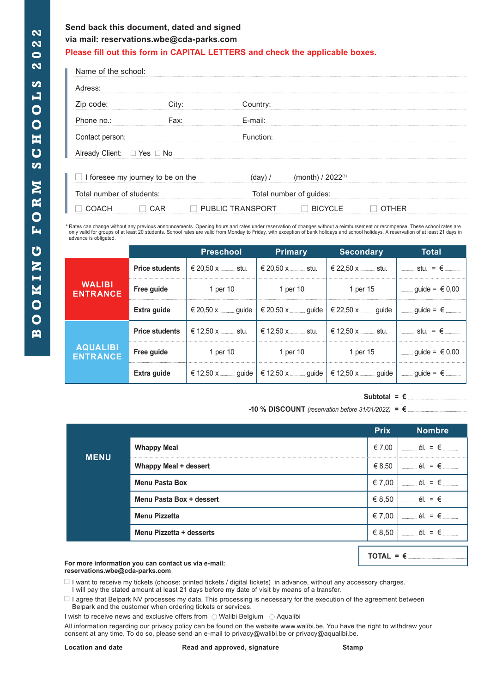## **Send back this document, dated and signed via mail: reservations.wbe@cda-parks.com**

**Please fill out this form in CAPITAL LETTERS and check the applicable boxes.**

| Name of the school:        |                                          |                         |                         |       |  |
|----------------------------|------------------------------------------|-------------------------|-------------------------|-------|--|
| Adress:                    |                                          |                         |                         |       |  |
| Zip code:                  | City:                                    | Country:                |                         |       |  |
| Phone no.:                 | Fax:                                     | E-mail:                 |                         |       |  |
| Contact person:            |                                          | Function:               |                         |       |  |
| Already Client: □ Yes □ No |                                          |                         |                         |       |  |
|                            | $\Box$ I foresee my journey to be on the | (dav) /                 | (month) / $2022^{(1)}$  |       |  |
| Total number of students:  |                                          |                         | Total number of guides: |       |  |
| <b>COACH</b>               | CAR                                      | <b>PUBLIC TRANSPORT</b> | <b>BICYCLE</b>          | OTHER |  |

\* Rates can change without any previous announcements. Opening hours and rates under reservation of changes without a reimbursement or recompense. These school rates are<br>only valid for groups of at least 20 students. Schoo advance is obligated.

|                                    |                       | <b>Preschool</b>     | <b>Primary</b>                                                                                                | <b>Secondary</b>                            | Total                        |
|------------------------------------|-----------------------|----------------------|---------------------------------------------------------------------------------------------------------------|---------------------------------------------|------------------------------|
| <b>WALIBI</b><br><b>ENTRANCE</b>   | <b>Price students</b> | € 20.50 x  stu.      | € 20.50 x  stu.                                                                                               | € 22.50 x  stu.                             | <b></b> stu. = €             |
|                                    | Free guide            | 1 per 10             | 1 per 10                                                                                                      | 1 per 15                                    | $\frac{1}{2}$ guide = € 0,00 |
|                                    | Extra guide           |                      | $\in$ 20,50 x ______ guide   $\in$ 20,50 x _____ guide   $\in$ 22,50 x _____ guide   ____ guide = $\in$ _____ |                                             |                              |
| <b>AQUALIBI</b><br><b>ENTRANCE</b> | <b>Price students</b> | € 12,50 x _____ stu. | € 12,50 x _____ stu.                                                                                          | l € 12.50 x ……… stu.   I ……… stu.  =  € ……… |                              |
|                                    | Free guide            | 1 per 10             | 1 per 10                                                                                                      | 1 per 15                                    | $\frac{1}{2}$ guide = € 0,00 |
|                                    | Extra guide           |                      | $\in$ 12,50 x —— guide   $\in$ 12,50 x —— guide   $\in$ 12,50 x —— guide   —— guide = $\in$ ——                |                                             |                              |

### $Subtotal = \epsilon$

**-10 % DISCOUNT** *(reservation before 31/01/2022)* **= €** 

|             |                              | <b>Prix</b> | <b>Nombre</b>                                                                                                                                                                                                                                                                                                       |
|-------------|------------------------------|-------------|---------------------------------------------------------------------------------------------------------------------------------------------------------------------------------------------------------------------------------------------------------------------------------------------------------------------|
| <b>MENU</b> | <b>Whappy Meal</b>           | € 7,00      | $\lim_{x\to\infty}$ él. = $\epsilon$ $\lim_{x\to\infty}$                                                                                                                                                                                                                                                            |
|             | <b>Whappy Meal + dessert</b> | $\in$ 8.50  | $\frac{1}{2}$ $\frac{1}{2}$ $\frac{1}{2}$ $\frac{1}{2}$ $\frac{1}{2}$ $\frac{1}{2}$ $\frac{1}{2}$ $\frac{1}{2}$ $\frac{1}{2}$ $\frac{1}{2}$ $\frac{1}{2}$ $\frac{1}{2}$ $\frac{1}{2}$ $\frac{1}{2}$ $\frac{1}{2}$ $\frac{1}{2}$ $\frac{1}{2}$ $\frac{1}{2}$ $\frac{1}{2}$ $\frac{1}{2}$ $\frac{1}{2}$ $\frac{1}{2}$ |
|             | <b>Menu Pasta Box</b>        | € 7,00      | $\epsilon$ and $\epsilon$ and $\epsilon$ and $\epsilon$ and $\epsilon$ and $\epsilon$                                                                                                                                                                                                                               |
|             | Menu Pasta Box + dessert     | $\in$ 8,50  | $\Box$ él. = $\epsilon$ .                                                                                                                                                                                                                                                                                           |
|             | <b>Menu Pizzetta</b>         | € 7,00      | $\acute{e}$ l. = $\epsilon$                                                                                                                                                                                                                                                                                         |
|             | Menu Pizzetta + desserts     | € 8,50      | $\frac{1}{2}$ = $\frac{1}{2}$ = $\frac{1}{2}$ = $\frac{1}{2}$                                                                                                                                                                                                                                                       |

#### **For more information you can contact us via e-mail: reservations.wbe@cda-parks.com**

 $\Box$  I want to receive my tickets (choose: printed tickets / digital tickets) in advance, without any accessory charges. I will pay the stated amount at least 21 days before my date of visit by means of a transfer.

 $\Box$  I agree that Belpark NV processes my data. This processing is necessary for the execution of the agreement between Belpark and the customer when ordering tickets or services.

I wish to receive news and exclusive offers from  $\bigcirc$  Walibi Belgium  $\bigcirc$  Aqualibi

All information regarding our privacy policy can be found on the website www.walibi.be. You have the right to withdraw your consent at any time. To do so, please send an e-mail to privacy@walibi.be or privacy@aqualibi.be.